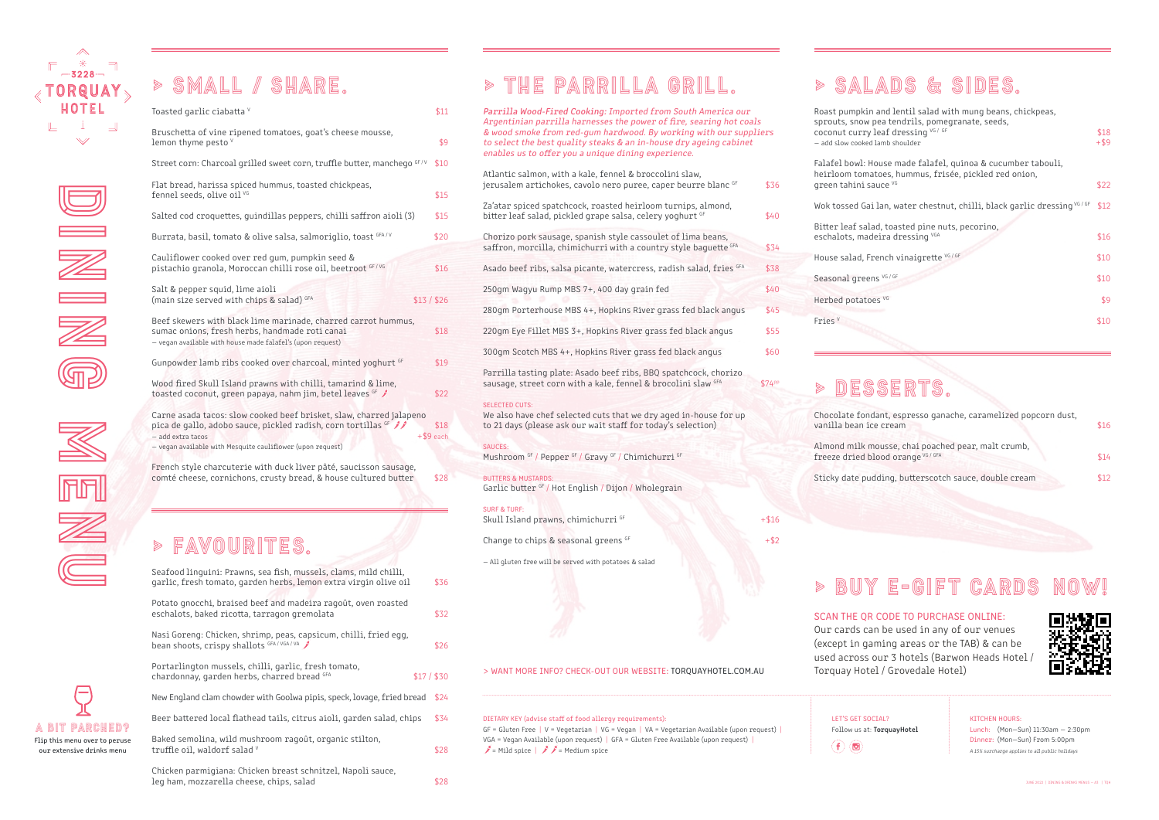

Dining Dining Dining Dining Dining Dining Dining Dining Dining Dining Dining Dining Dining Dining Dining Dining Dining Dining Dining Dining Dining Dining Dining Dining Dining Dining Dining Dining Dining Dining Dining Dinin

# > SMALL / share.

| Toasted garlic ciabatta V  |                                                                                                                                                                                                      | \$11                |
|----------------------------|------------------------------------------------------------------------------------------------------------------------------------------------------------------------------------------------------|---------------------|
| lemon thyme pesto V        | Bruschetta of vine ripened tomatoes, goat's cheese mousse,                                                                                                                                           | \$9                 |
|                            | Street corn: Charcoal grilled sweet corn, truffle butter, manchego GF/V                                                                                                                              | \$10                |
| fennel seeds, olive oil VG | Flat bread, harissa spiced hummus, toasted chickpeas,                                                                                                                                                | \$15                |
|                            | Salted cod croquettes, quindillas peppers, chilli saffron aioli (3)                                                                                                                                  | \$15                |
|                            | Burrata, basil, tomato & olive salsa, salmoriglio, toast GFA/V                                                                                                                                       | \$20                |
|                            | Cauliflower cooked over red gum, pumpkin seed &<br>pistachio granola, Moroccan chilli rose oil, beetroot GF/VG                                                                                       | \$16                |
|                            | Salt & pepper squid, lime aioli<br>(main size served with chips & salad) GFA                                                                                                                         | \$13/\$26           |
|                            | Beef skewers with black lime marinade, charred carrot hummus,<br>sumac onions, fresh herbs, handmade roti canai<br>- vegan available with house made falafel's (upon request)                        | \$18                |
|                            | Gunpowder lamb ribs cooked over charcoal, minted yoghurt GF                                                                                                                                          | \$19                |
|                            | Wood fired Skull Island prawns with chilli, tamarind & lime,<br>toasted coconut, green papaya, nahm jim, betel leaves GF                                                                             | \$22                |
| - add extra tacos          | Carne asada tacos: slow cooked beef brisket, slaw, charred jalapeno<br>pica de gallo, adobo sauce, pickled radish, corn tortillas GF 1<br>- vegan available with Mesquite cauliflower (upon request) | \$18<br>$+ $9$ each |
|                            | French style charcuterie with duck liver pâté, saucisson sausage,<br>comté cheese, cornichons, crusty bread, & house cultured butter                                                                 | \$28                |
|                            |                                                                                                                                                                                                      |                     |
|                            | FAVOURITES.                                                                                                                                                                                          |                     |
|                            | Seafood linguini: Prawns, sea fish, mussels, clams, mild chilli,<br>garlic, fresh tomato, garden herbs, lemon extra virgin olive oil                                                                 | \$36                |
|                            | Potato gnocchi, braised beef and madeira ragoût, oven roasted<br>eschalots, baked ricotta, tarragon gremolata                                                                                        | \$32                |
|                            | Nasi Goreng: Chicken, shrimp, peas, capsicum, chilli, fried egg,<br>bean shoots, crispy shallots GFA/VGA/VA                                                                                          | \$26                |

Chicken parmigiana: Chicken breast schnitzel, Napoli sauce, leg ham, mozzarella cheese, chips, salad \$28

| Nasi Goreng: Chicken, shrimp, peas, capsicum, chilli, fried egg,<br>bean shoots, crispy shallots GFA/VGA/VA | \$26        |
|-------------------------------------------------------------------------------------------------------------|-------------|
| Portarlington mussels, chilli, garlic, fresh tomato,<br>chardonnay, garden herbs, charred bread GFA         | $$17/$ \$30 |
| New England clam chowder with Goolwa pipis, speck, lovage, fried bread                                      | \$24        |
| Beer battered local flathead tails, citrus aioli, garden salad, chips                                       | \$34        |
| Baked semolina, wild mushroom ragoût, organic stilton,<br>truffle oil, waldorf salad V                      | \$28        |
|                                                                                                             |             |

## > SALADS & SIDES.

Falafel bowl: Ho heirloom tomat Seasonal greens Parrilla Wood-Fired Cooking: Imported from South America our Argentinian parrilla harnesses the power of fire, searing hot coals & wood smoke from red-gum hardwood. By working with our suppliers to select the best quality steaks & an in-house dry ageing cabinet enables us to offer you a unique dining experience. Atlantic salmon, with a kale, fennel & broccolini slaw, jerusalem artichokes, cavolo nero puree, caper beurre blanc GF \$36 Za'atar spiced spatchcock, roasted heirloom turnips, almond, bitter leaf salad, pickled grape salsa, celery yoghurt GF 640 Chorizo pork sausage, spanish style cassoulet of lima beans, saffron, morcilla, chimichurri with a country style baquette GFA \$34 Asado beef ribs, salsa picante, watercress, radish salad, fries GFA \$38 250gm Wagyu Rump MBS 7+, 400 day grain fed \$40 280gm Porterhouse MBS 4+, Hopkins River grass fed black angus \$45 220gm Eye Fillet MBS 3+, Hopkins River grass fed black angus \$55 300gm Scotch MBS 4+, Hopkins River grass fed black angus \$60 Parrilla tasting plate: Asado beef ribs, BBQ spatchcock, chorizo sausage, street corn with a kale, fennel & brocolini slaw GFA \$74PP SELECTED CUTS: We also have chef selected cuts that we dry aged in-house for up to 21 days (please ask our wait staff for today's selection) Mushroom GF / Pepper GF / Gravy GF / Chimichurri GF BUTTERS & MUSTARDS: Garlic butter GF / Hot English / Dijon / Wholegrain SURF & TURF: Skull Island prawns, chimichurri GF +\$16 Change to chips & seasonal greens  $G_F$  +\$2 — All gluten free will be served with potatoes & salad

GF = Gluten Free | V = Vegetarian | VG = Vegan | VA = Vegetarian Available (upon request) | VGA = Vegan Available (upon request) | GFA = Gluten Free Available (upon request) |  $\mathscr{I}$  = Mild spice  $|\mathscr{I}|\mathscr{I}$  = Medium spice

Chocolate fonda vanilla bean ice

Almond milk mo freeze dried blo

Sticky date pud

LET'S GET SOCIAL? Follow us at: TorquayHotel  $\left(\mathbf{f}\right)\left(\mathbf{0}\right)$ 

| Roast pumpkin and lentil salad with mung beans, chickpeas,<br>sprouts, snow pea tendrils, pomegranate, seeds,<br>coconut curry leaf dressing VG / GF<br>- add slow cooked lamb shoulder | \$18<br>$+$ \$9 |
|-----------------------------------------------------------------------------------------------------------------------------------------------------------------------------------------|-----------------|
| Falafel bowl: House made falafel, quinoa & cucumber tabouli,<br>heirloom tomatoes, hummus, frisée, pickled red onion,<br>green tahini sauce VG                                          | \$22            |
| Wok tossed Gailan, water chestnut, chilli, black garlic dressing VG/GF                                                                                                                  | \$12            |
| Bitter leaf salad, toasted pine nuts, pecorino,<br>eschalots, madeira dressing VGA                                                                                                      | \$16            |
| House salad, French vinaigrette VG / GF                                                                                                                                                 | \$10            |
| Seasonal greens VG / GF                                                                                                                                                                 | \$10            |
| Herbed potatoes VG                                                                                                                                                                      | \$9             |
| Fries $V$                                                                                                                                                                               | \$10            |

## SSERTS.

| ant, espresso ganache, caramelized popcorn dust,<br>cream    | \$16 |
|--------------------------------------------------------------|------|
| ousse, chai poached pear, malt crumb,<br>bod orange VG / GFA | \$14 |
| ding, butterscotch sauce, double cream                       | \$12 |

> BUY E-GIFT CARDS



# > THE PARRILLA GRILL.

SAUCES:

## A BIT PARCHED? Flip this menu over to peruse our extensive drinks menu

menu k

### DIETARY KEY (advise staff of food allergy requirements):

### KITCHEN HOURS:

Lunch: (Mon—Sun) 11:30am — 2:30pm Dinner: (Mon—Sun) From 5:00pm A 15% surcharge applies to all public holidays

> WANT MORE INFO? CHECK-OUT OUR WEBSITE: TORQUAYHOTEL.COM.AU

SCAN THE QR CODE TO PURCHASE ONLINE: Our cards can be used in any of our venues (except in gaming areas or the TAB) & can be used across our 3 hotels (Barwon Heads Hotel / Torquay Hotel / Grovedale Hotel)